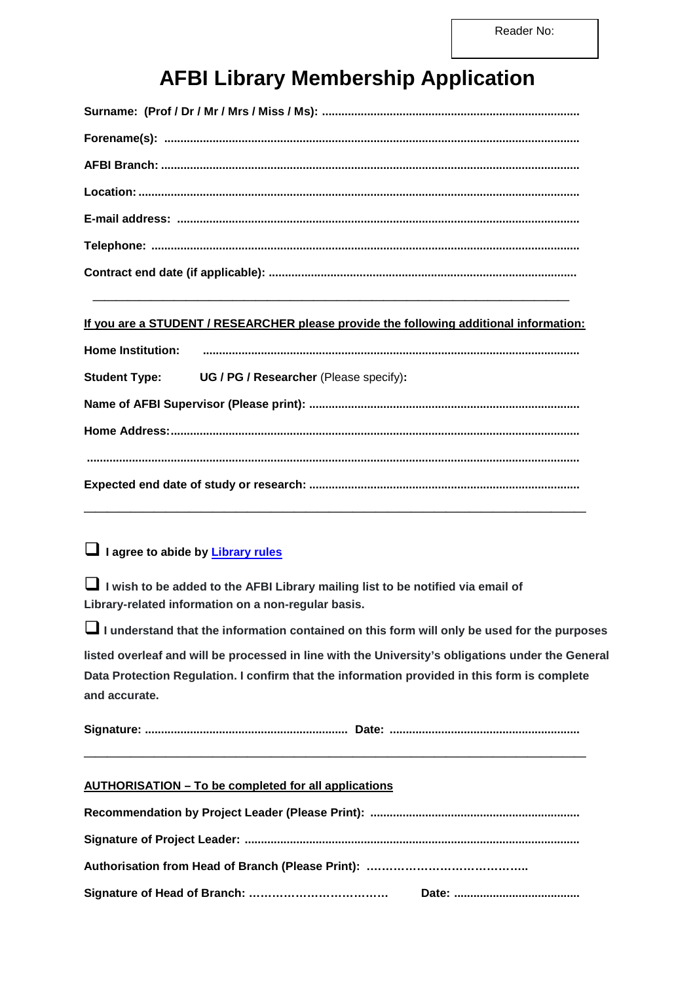# **AFBI Library Membership Application**

#### **If you are a STUDENT / RESEARCHER please provide the following additional information:**

| <b>Home Institution:</b> |                                                             |  |  |
|--------------------------|-------------------------------------------------------------|--|--|
|                          | <b>Student Type:</b> UG / PG / Researcher (Please specify): |  |  |
|                          |                                                             |  |  |
|                          |                                                             |  |  |
|                          |                                                             |  |  |
|                          |                                                             |  |  |
|                          |                                                             |  |  |

## **I agree to abide by [Library rules](http://www.qub.ac.uk/sites/afbi/FileStore/Filetoupload,744847,en.pdf)**

 **I wish to be added to the AFBI Library mailing list to be notified via email of Library-related information on a non-regular basis.**

**I** I understand that the information contained on this form will only be used for the purposes **listed overleaf and will be processed in line with the University's obligations under the General Data Protection Regulation. I confirm that the information provided in this form is complete and accurate.**

# **AUTHORISATION – To be completed for all applications**